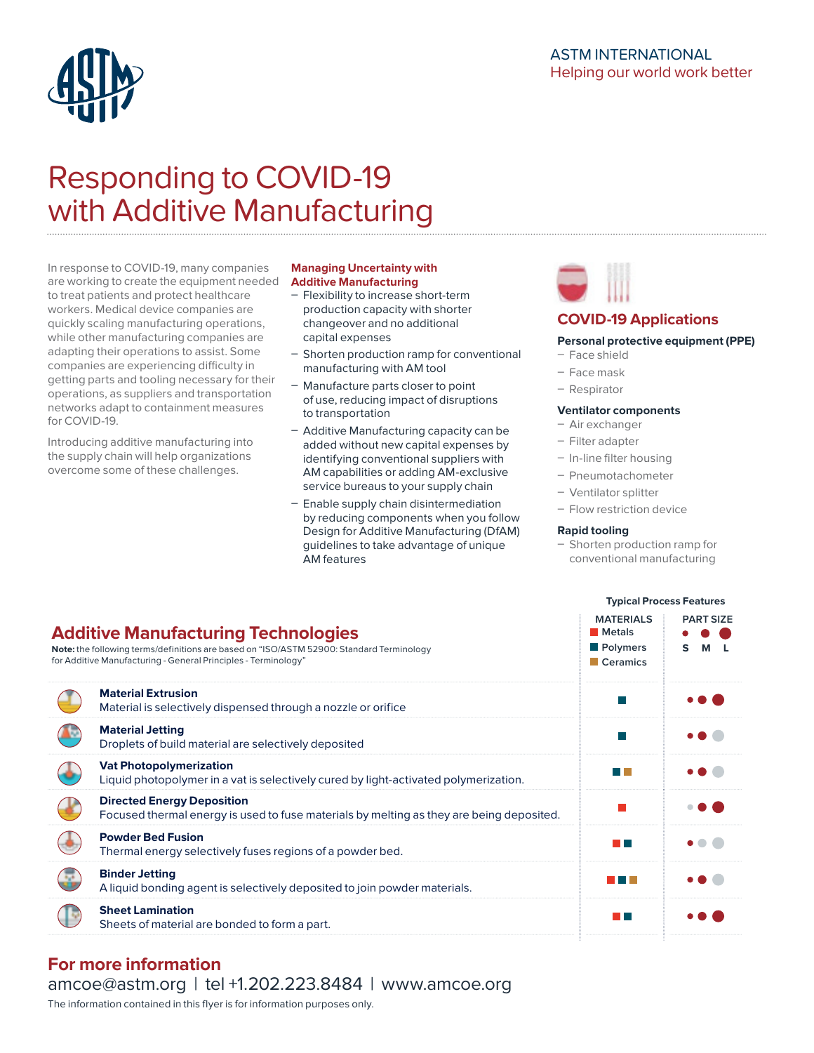# ASTM INTERNATIONAL Helping our world work better



# Responding to COVID-19 with Additive Manufacturing

In response to COVID-19, many companies are working to create the equipment needed to treat patients and protect healthcare workers. Medical device companies are quickly scaling manufacturing operations, while other manufacturing companies are adapting their operations to assist. Some companies are experiencing difficulty in getting parts and tooling necessary for their operations, as suppliers and transportation networks adapt to containment measures for COVID-19.

Introducing additive manufacturing into the supply chain will help organizations overcome some of these challenges.

#### **Managing Uncertainty with Additive Manufacturing**

- Flexibility to increase short-term production capacity with shorter changeover and no additional capital expenses
- Shorten production ramp for conventional manufacturing with AM tool
- Manufacture parts closer to point of use, reducing impact of disruptions to transportation
- Additive Manufacturing capacity can be added without new capital expenses by identifying conventional suppliers with AM capabilities or adding AM-exclusive service bureaus to your supply chain
- Enable supply chain disintermediation by reducing components when you follow Design for Additive Manufacturing (DfAM) guidelines to take advantage of unique AM features



# **COVID-19 Applications**

### **Personal protective equipment (PPE)**

- Face shield
- Face mask
- Respirator

#### **Ventilator components**

- Air exchanger
- Filter adapter
- In-line filter housing
- Pneumotachometer
- Ventilator splitter

 **Metals Polymers Ceramics**

- Flow restriction device

#### **Rapid tooling**

- Shorten production ramp for conventional manufacturing

**Typical Process Features**

**MATERIALS PART SIZE**

**S M L**

# **Additive Manufacturing Technologies**

**Note:** the following terms/definitions are based on "ISO/ASTM 52900: Standard Terminology for Additive Manufacturing - General Principles - Terminology"

| <b>Material Extrusion</b><br>Material is selectively dispensed through a nozzle or orifice                                    |      |  |
|-------------------------------------------------------------------------------------------------------------------------------|------|--|
| <b>Material Jetting</b><br>Droplets of build material are selectively deposited                                               |      |  |
| <b>Vat Photopolymerization</b><br>Liquid photopolymer in a vat is selectively cured by light-activated polymerization.        |      |  |
| <b>Directed Energy Deposition</b><br>Focused thermal energy is used to fuse materials by melting as they are being deposited. |      |  |
| <b>Powder Bed Fusion</b><br>Thermal energy selectively fuses regions of a powder bed.                                         | T.   |  |
| <b>Binder Jetting</b><br>A liquid bonding agent is selectively deposited to join powder materials.                            |      |  |
| <b>Sheet Lamination</b><br>Sheets of material are bonded to form a part.                                                      | a ka |  |
|                                                                                                                               |      |  |

# **For more information**

[amcoe@astm.org](mailto:amcoe%40astm.org%20?subject=Responding%20to%20COVID-19%20%0Awith%20Additive%20Manufacturing%20) | tel +1.202.223.8484 | [www.amcoe.org](http://www.amcoe.org)

The information contained in this flyer is for information purposes only.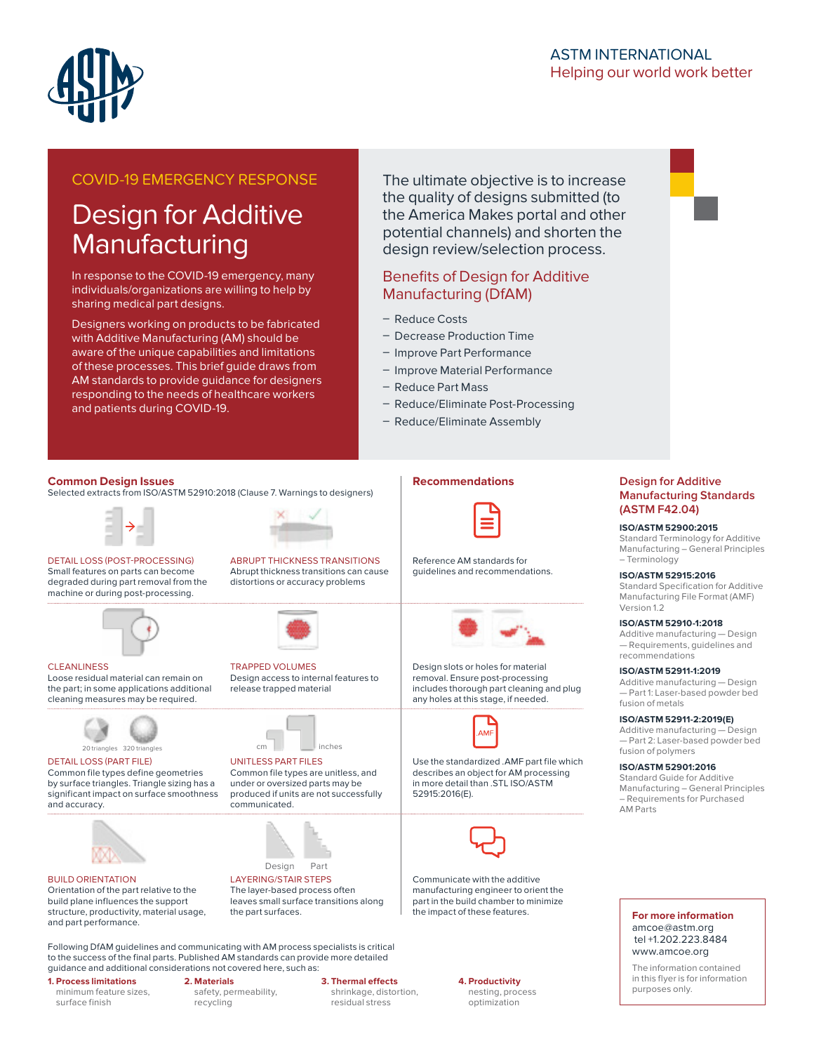

# ASTM INTERNATIONAL Helping our world work better

# COVID-19 EMERGENCY RESPONSE

# Design for Additive **Manufacturing**

In response to the COVID-19 emergency, many individuals/organizations are willing to help by sharing medical part designs.

Designers working on products to be fabricated with Additive Manufacturing (AM) should be aware of the unique capabilities and limitations of these processes. This brief guide draws from AM standards to provide guidance for designers responding to the needs of healthcare workers and patients during COVID-19.

The ultimate objective is to increase the quality of designs submitted (to the America Makes portal and other potential channels) and shorten the design review/selection process.

### Benefits of Design for Additive Manufacturing (DfAM)

- Reduce Costs
- Decrease Production Time
- **Improve Part Performance**
- Improve Material Performance
- Reduce Part Mass
- Reduce/Eliminate Post-Processing
- Reduce/Eliminate Assembly

**Recommendations**

#### **Common Design Issues**

Selected extracts from ISO/ASTM 52910:2018 (Clause 7. Warnings to designers)



DETAIL LOSS (POST-PROCESSING) Small features on parts can become degraded during part removal from the machine or during post-processing.



**CLEANLINESS** Loose residual material can remain on the part; in some applications additional cleaning measures may be required.



DETAIL LOSS (PART FILE)

Common file types define geometries by surface triangles. Triangle sizing has a significant impact on surface smoothness and accuracy.



BUILD ORIENTATION

Orientation of the part relative to the build plane influences the support structure, productivity, material usage, and part performance.





TRAPPED VOLUMES Design access to internal features to release trapped material



produced if units are not successfully communicated.



LAYERING/STAIR STEPS The layer-based process often leaves small surface transitions along the part surfaces.

Following DfAM guidelines and communicating with AM process specialists is critical to the success of the final parts. Published AM standards can provide more detailed guidance and additional considerations not covered here, such as:

> safety, permeability, recycling

**2. Materials** 

#### **1. Process limitations**

minimum feature sizes, surface finish

#### **3. Thermal effects**

shrinkage, distortion, residual stress

**4. Productivity**

nesting, process optimization

#### **Design for Additive Manufacturing Standards (ASTM F42.04)**

#### **ISO/ASTM 52900:2015**

Standard Terminology for Additive Manufacturing – General Principles – Terminology

**ISO/ASTM 52915:2016**  Standard Specification for Additive Manufacturing File Format (AMF) Version 1.2

**ISO/ASTM 52910-1:2018** Additive manufacturing — Design — Requirements, guidelines and recommendations

#### **ISO/ASTM 52911-1:2019**

Additive manufacturing — Design — Part 1: Laser-based powder bed fusion of metals

**ISO/ASTM 52911-2:2019(E)**

Additive manufacturing — Design — Part 2: Laser-based powder bed fusion of polymers

**ISO/ASTM 52901:2016**  Standard Guide for Additive

Manufacturing – General Principles – Requirements for Purchased AM Parts

#### **For more information**  amcoe@astm.org tel +1.202.223.8484 [www.amcoe.org](mailto:www.amcoe.org?subject=)

The information contained in this flyer is for information purposes only.



UNITLESS PART FILES Common file types are unitless, and under or oversized parts may be



Reference AM standards for guidelines and recommendations.

Design slots or holes for material removal. Ensure post-processing includes thorough part cleaning and plug any holes at this stage, if needed.



Use the standardized .AMF part file which describes an object for AM processing in more detail than .STL ISO/ASTM 52915:2016(E).



Communicate with the additive manufacturing engineer to orient the part in the build chamber to minimize the impact of these features.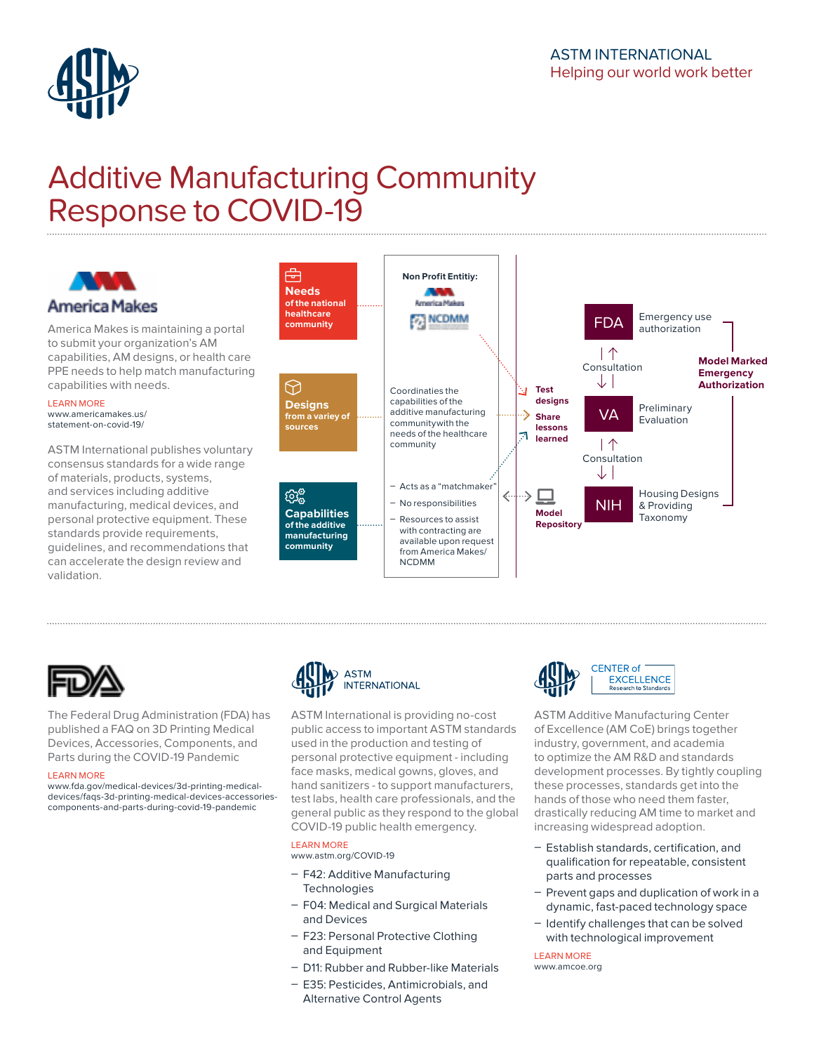

# Additive Manufacturing Community Response to COVID-19





The Federal Drug Administration (FDA) has published a FAQ on 3D Printing Medical Devices, Accessories, Components, and Parts during the COVID-19 Pandemic

#### LEARN MORE

[www.fda.gov/medical-devices/3d-printing-medical](http://www.fda.gov/medical-devices/3d-printing-medical-devices/faqs-3d-printing-medical-devices-accessories-components-and-parts-during-covid-19-pandemic)[devices/faqs-3d-printing-medical-devices-accessories](http://www.fda.gov/medical-devices/3d-printing-medical-devices/faqs-3d-printing-medical-devices-accessories-components-and-parts-during-covid-19-pandemic)[components-and-parts-during-covid-19-pandemic](http://www.fda.gov/medical-devices/3d-printing-medical-devices/faqs-3d-printing-medical-devices-accessories-components-and-parts-during-covid-19-pandemic)



ASTM International is providing no-cost public access to important ASTM standards used in the production and testing of personal protective equipment - including face masks, medical gowns, gloves, and hand sanitizers - to support manufacturers, test labs, health care professionals, and the general public as they respond to the global COVID-19 public health emergency.

#### LEARN MORE

[www.astm.org/COVID-19](http://www.astm.org/COVID-19)

- F42: Additive Manufacturing **[Technologies](http://www.astm.org/committee/F42.htm)**
- F04: Medical and Surgical Materials [and Devices](http://www.astm.org/committee/F04.htm)
- F23: Personal Protective Clothing [and Equipment](http://www.astm.org/committee/F23.htm)
- [D11: Rubber and Rubber-like Materials](http://www.astm.org/committee/D11.htm)
- E35: Pesticides, Antimicrobials, and [Alternative Control Agents](http://www.astm.org/committee/E35.htm)



ASTM Additive Manufacturing Center of Excellence (AM CoE) brings together industry, government, and academia to optimize the AM R&D and standards development processes. By tightly coupling these processes, standards get into the hands of those who need them faster, drastically reducing AM time to market and increasing widespread adoption.

- Establish standards, certification, and qualification for repeatable, consistent parts and processes
- Prevent gaps and duplication of work in a dynamic, fast-paced technology space
- Identify challenges that can be solved with technological improvement

LEARN MORE [www.amcoe.org](http://www.amcoe.org)